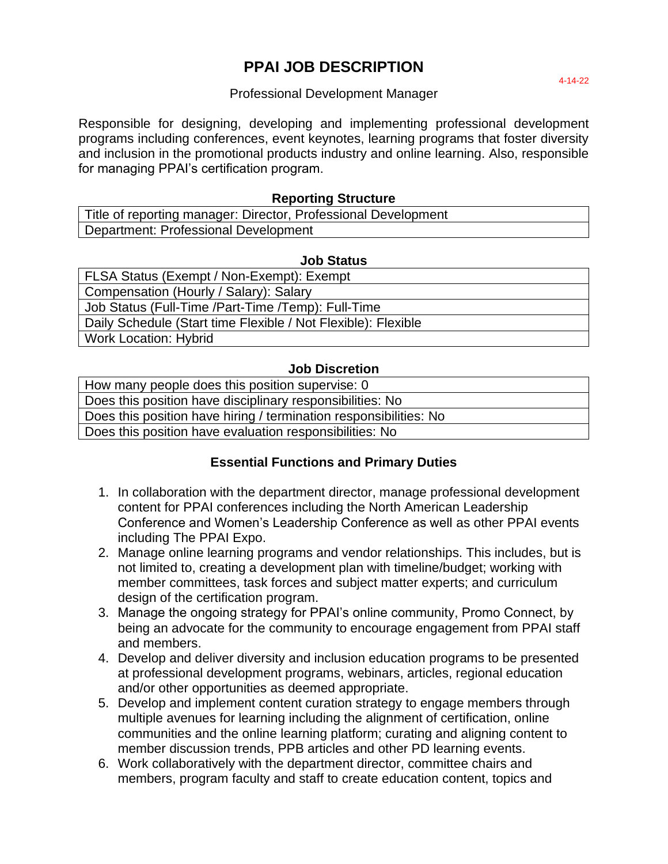# **PPAI JOB DESCRIPTION**

#### Professional Development Manager

Responsible for designing, developing and implementing professional development programs including conferences, event keynotes, learning programs that foster diversity and inclusion in the promotional products industry and online learning. Also, responsible for managing PPAI's certification program.

#### **Reporting Structure**

Title of reporting manager: Director, Professional Development Department: Professional Development

#### **Job Status**

FLSA Status (Exempt / Non-Exempt): Exempt Compensation (Hourly / Salary): Salary Job Status (Full-Time /Part-Time /Temp): Full-Time Daily Schedule (Start time Flexible / Not Flexible): Flexible Work Location: Hybrid

#### **Job Discretion**

| How many people does this position supervise: 0                   |
|-------------------------------------------------------------------|
| Does this position have disciplinary responsibilities: No         |
| Does this position have hiring / termination responsibilities: No |
| Does this position have evaluation responsibilities: No           |

### **Essential Functions and Primary Duties**

- 1. In collaboration with the department director, manage professional development content for PPAI conferences including the North American Leadership Conference and Women's Leadership Conference as well as other PPAI events including The PPAI Expo.
- 2. Manage online learning programs and vendor relationships. This includes, but is not limited to, creating a development plan with timeline/budget; working with member committees, task forces and subject matter experts; and curriculum design of the certification program.
- 3. Manage the ongoing strategy for PPAI's online community, Promo Connect, by being an advocate for the community to encourage engagement from PPAI staff and members.
- 4. Develop and deliver diversity and inclusion education programs to be presented at professional development programs, webinars, articles, regional education and/or other opportunities as deemed appropriate.
- 5. Develop and implement content curation strategy to engage members through multiple avenues for learning including the alignment of certification, online communities and the online learning platform; curating and aligning content to member discussion trends, PPB articles and other PD learning events.
- 6. Work collaboratively with the department director, committee chairs and members, program faculty and staff to create education content, topics and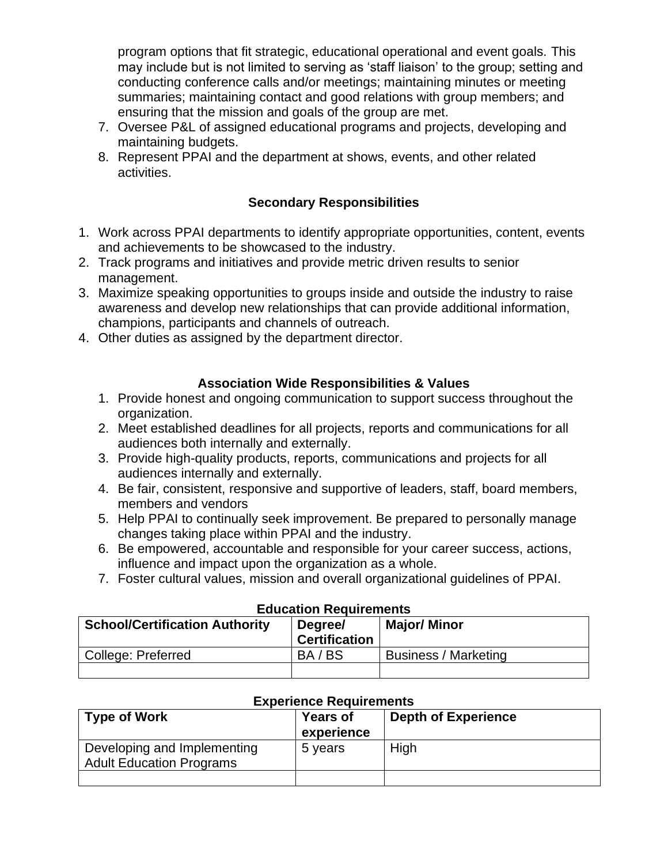program options that fit strategic, educational operational and event goals. This may include but is not limited to serving as 'staff liaison' to the group; setting and conducting conference calls and/or meetings; maintaining minutes or meeting summaries; maintaining contact and good relations with group members; and ensuring that the mission and goals of the group are met.

- 7. Oversee P&L of assigned educational programs and projects, developing and maintaining budgets.
- 8. Represent PPAI and the department at shows, events, and other related activities.

## **Secondary Responsibilities**

- 1. Work across PPAI departments to identify appropriate opportunities, content, events and achievements to be showcased to the industry.
- 2. Track programs and initiatives and provide metric driven results to senior management.
- 3. Maximize speaking opportunities to groups inside and outside the industry to raise awareness and develop new relationships that can provide additional information, champions, participants and channels of outreach.
- 4. Other duties as assigned by the department director.

### **Association Wide Responsibilities & Values**

- 1. Provide honest and ongoing communication to support success throughout the organization.
- 2. Meet established deadlines for all projects, reports and communications for all audiences both internally and externally.
- 3. Provide high-quality products, reports, communications and projects for all audiences internally and externally.
- 4. Be fair, consistent, responsive and supportive of leaders, staff, board members, members and vendors
- 5. Help PPAI to continually seek improvement. Be prepared to personally manage changes taking place within PPAI and the industry.
- 6. Be empowered, accountable and responsible for your career success, actions, influence and impact upon the organization as a whole.
- 7. Foster cultural values, mission and overall organizational guidelines of PPAI.

| <b>Education Requirements</b>         |                                 |                             |  |  |
|---------------------------------------|---------------------------------|-----------------------------|--|--|
| <b>School/Certification Authority</b> | Degree/<br><b>Certification</b> | <b>Major/ Minor</b>         |  |  |
| College: Preferred                    | BA/BS                           | <b>Business / Marketing</b> |  |  |
|                                       |                                 |                             |  |  |

| <b>Experience Requirements</b>                                 |                               |                            |  |
|----------------------------------------------------------------|-------------------------------|----------------------------|--|
| <b>Type of Work</b>                                            | <b>Years of</b><br>experience | <b>Depth of Experience</b> |  |
| Developing and Implementing<br><b>Adult Education Programs</b> | 5 years                       | High                       |  |
|                                                                |                               |                            |  |